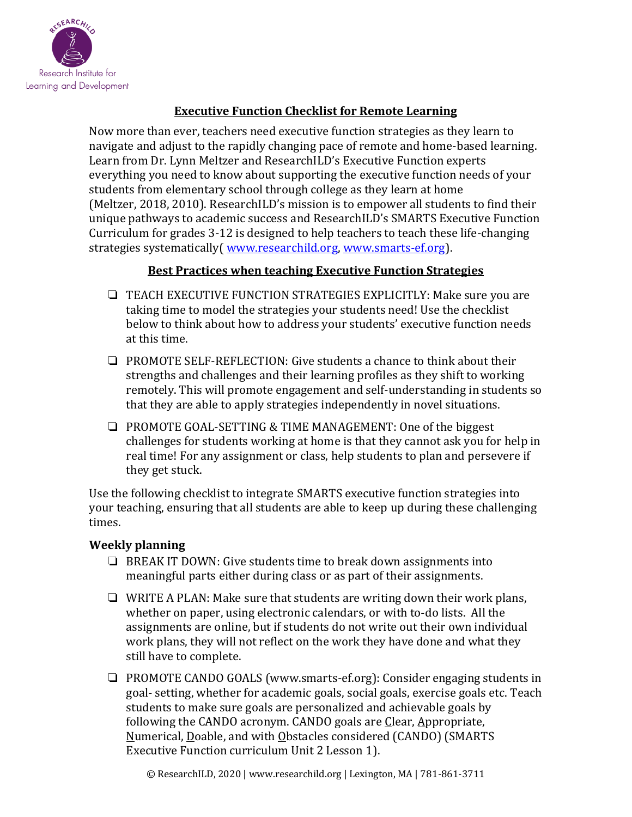

# **Executive Function Checklist for Remote Learning**

Now more than ever, teachers need executive function strategies as they learn to navigate and adjust to the rapidly changing pace of remote and home-based learning. Learn from Dr. Lynn Meltzer and ResearchILD's Executive Function experts everything you need to know about supporting the executive function needs of your students from elementary school through college as they learn at home (Meltzer, 2018, 2010). ResearchILD's mission is to empower all students to find their unique pathways to academic success and ResearchILD's SMARTS Executive Function Curriculum for grades 3-12 is designed to help teachers to teach these life-changing strategies systematically (www.researchild.org, www.smarts-ef.org).

### **Best Practices when teaching Executive Function Strategies**

- ❏ TEACH EXECUTIVE FUNCTION STRATEGIES EXPLICITLY: Make sure you are taking time to model the strategies your students need! Use the checklist below to think about how to address your students' executive function needs at this time.
- ❏ PROMOTE SELF-REFLECTION: Give students a chance to think about their strengths and challenges and their learning profiles as they shift to working remotely. This will promote engagement and self-understanding in students so that they are able to apply strategies independently in novel situations.
- ❏ PROMOTE GOAL-SETTING & TIME MANAGEMENT: One of the biggest challenges for students working at home is that they cannot ask you for help in real time! For any assignment or class, help students to plan and persevere if they get stuck.

Use the following checklist to integrate SMARTS executive function strategies into your teaching, ensuring that all students are able to keep up during these challenging times.

## **Weekly planning**

- ❏ BREAK IT DOWN: Give students time to break down assignments into meaningful parts either during class or as part of their assignments.
- ❏ WRITE A PLAN: Make sure that students are writing down their work plans, whether on paper, using electronic calendars, or with to-do lists. All the assignments are online, but if students do not write out their own individual work plans, they will not reflect on the work they have done and what they still have to complete.
- ❏ PROMOTE CANDO GOALS (www.smarts-ef.org): Consider engaging students in goal- setting, whether for academic goals, social goals, exercise goals etc. Teach students to make sure goals are personalized and achievable goals by following the CANDO acronym. CANDO goals are Clear, Appropriate, Numerical, Doable, and with Obstacles considered (CANDO) (SMARTS Executive Function curriculum Unit 2 Lesson 1).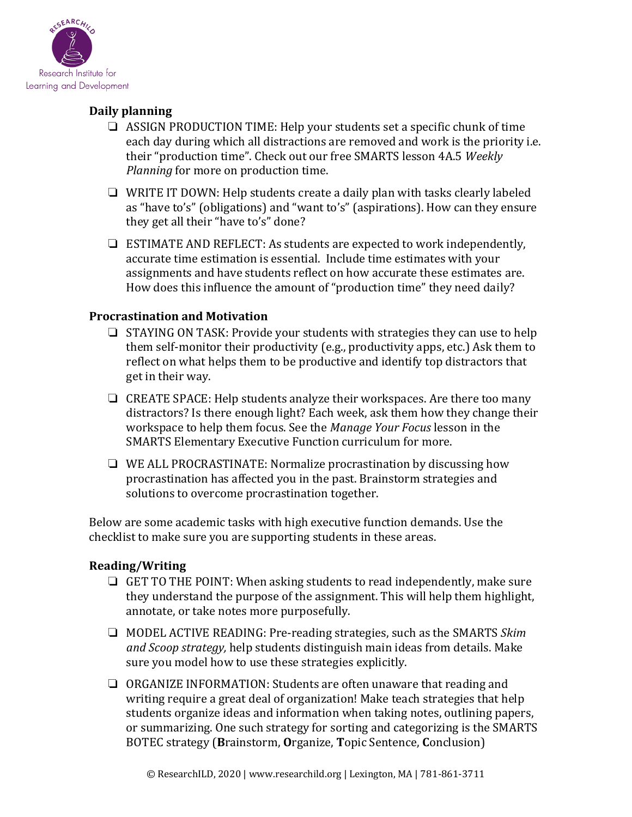

## **Daily planning**

- ❏ ASSIGN PRODUCTION TIME: Help your students set a specific chunk of time each day during which all distractions are removed and work is the priority i.e. their "production time". Check out our free SMARTS lesson 4A.5 Weekly *Planning* for more on production time.
- ❏ WRITE IT DOWN: Help students create a daily plan with tasks clearly labeled as "have to's" (obligations) and "want to's" (aspirations). How can they ensure they get all their "have to's" done?
- ❏ ESTIMATE AND REFLECT: As students are expected to work independently, accurate time estimation is essential. Include time estimates with your assignments and have students reflect on how accurate these estimates are. How does this influence the amount of "production time" they need daily?

### **Procrastination and Motivation**

- ❏ STAYING ON TASK: Provide your students with strategies they can use to help them self-monitor their productivity (e.g., productivity apps, etc.) Ask them to reflect on what helps them to be productive and identify top distractors that get in their way.
- ❏ CREATE SPACE: Help students analyze their workspaces. Are there too many distractors? Is there enough light? Each week, ask them how they change their workspace to help them focus. See the *Manage Your Focus* lesson in the SMARTS Elementary Executive Function curriculum for more.
- ❏ WE ALL PROCRASTINATE: Normalize procrastination by discussing how procrastination has affected you in the past. Brainstorm strategies and solutions to overcome procrastination together.

Below are some academic tasks with high executive function demands. Use the checklist to make sure you are supporting students in these areas.

### **Reading/Writing**

- ❏ GET TO THE POINT: When asking students to read independently, make sure they understand the purpose of the assignment. This will help them highlight, annotate, or take notes more purposefully.
- ❏ MODEL ACTIVE READING: Pre-reading strategies, such as the SMARTS *Skim and Scoop strategy,* help students distinguish main ideas from details. Make sure you model how to use these strategies explicitly.
- ❏ ORGANIZE INFORMATION: Students are often unaware that reading and writing require a great deal of organization! Make teach strategies that help students organize ideas and information when taking notes, outlining papers, or summarizing. One such strategy for sorting and categorizing is the SMARTS BOTEC strategy (**B**rainstorm, **O**rganize, **T**opic Sentence, **C**onclusion)